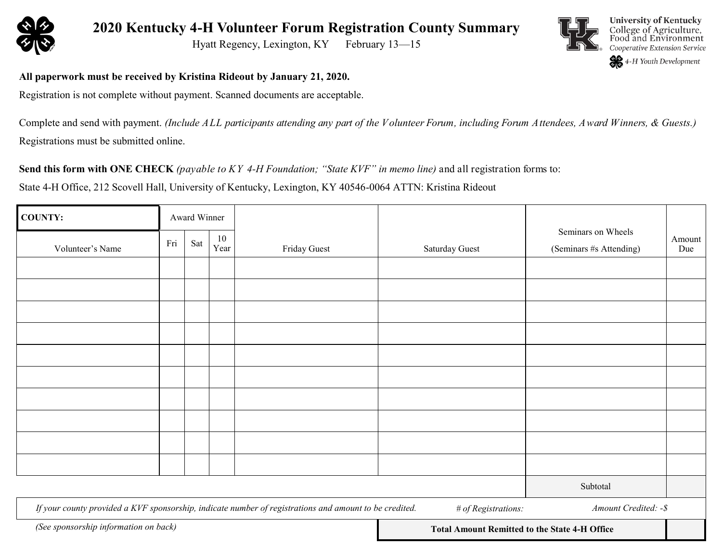

**2020 Kentucky 4-H Volunteer Forum Registration County Summary**

Hyatt Regency, Lexington, KY February 13-15



**University of Kentucky** College of Agriculture, Food and Environment Cooperative Extension Service

4-H Youth Development

**All paperwork must be received by Kristina Rideout by January 21, 2020.**

Registration is not complete without payment. Scanned documents are acceptable.

Complete and send with payment. *(Include ALL participants attending any part of the Volunteer Forum, including Forum Attendees, Award Winners, & Guests.)* Registrations must be submitted online.

**Send this form with ONE CHECK** *(payable to KY 4-H Foundation; "State KVF" in memo line)* and all registration forms to:

State 4-H Office, 212 Scovell Hall, University of Kentucky, Lexington, KY 40546-0064 ATTN: Kristina Rideout

| <b>COUNTY:</b>   | Award Winner |     |            |              |                |                                               |               |
|------------------|--------------|-----|------------|--------------|----------------|-----------------------------------------------|---------------|
| Volunteer's Name | Fri          | Sat | 10<br>Year | Friday Guest | Saturday Guest | Seminars on Wheels<br>(Seminars #s Attending) | Amount<br>Due |
|                  |              |     |            |              |                |                                               |               |
|                  |              |     |            |              |                |                                               |               |
|                  |              |     |            |              |                |                                               |               |
|                  |              |     |            |              |                |                                               |               |
|                  |              |     |            |              |                |                                               |               |
|                  |              |     |            |              |                |                                               |               |
|                  |              |     |            |              |                |                                               |               |
|                  |              |     |            |              |                |                                               |               |
|                  |              |     |            |              |                |                                               |               |
|                  |              |     |            |              |                |                                               |               |
|                  |              |     |            |              |                | Subtotal                                      |               |

*If your county provided a KVF sponsorship, indicate number of registrations and amount to be credited.*

*# of Registrations: Amount Credited: -\$*

**Total Amount Remitted to the State 4-H Office** *(See sponsorship information on back)*